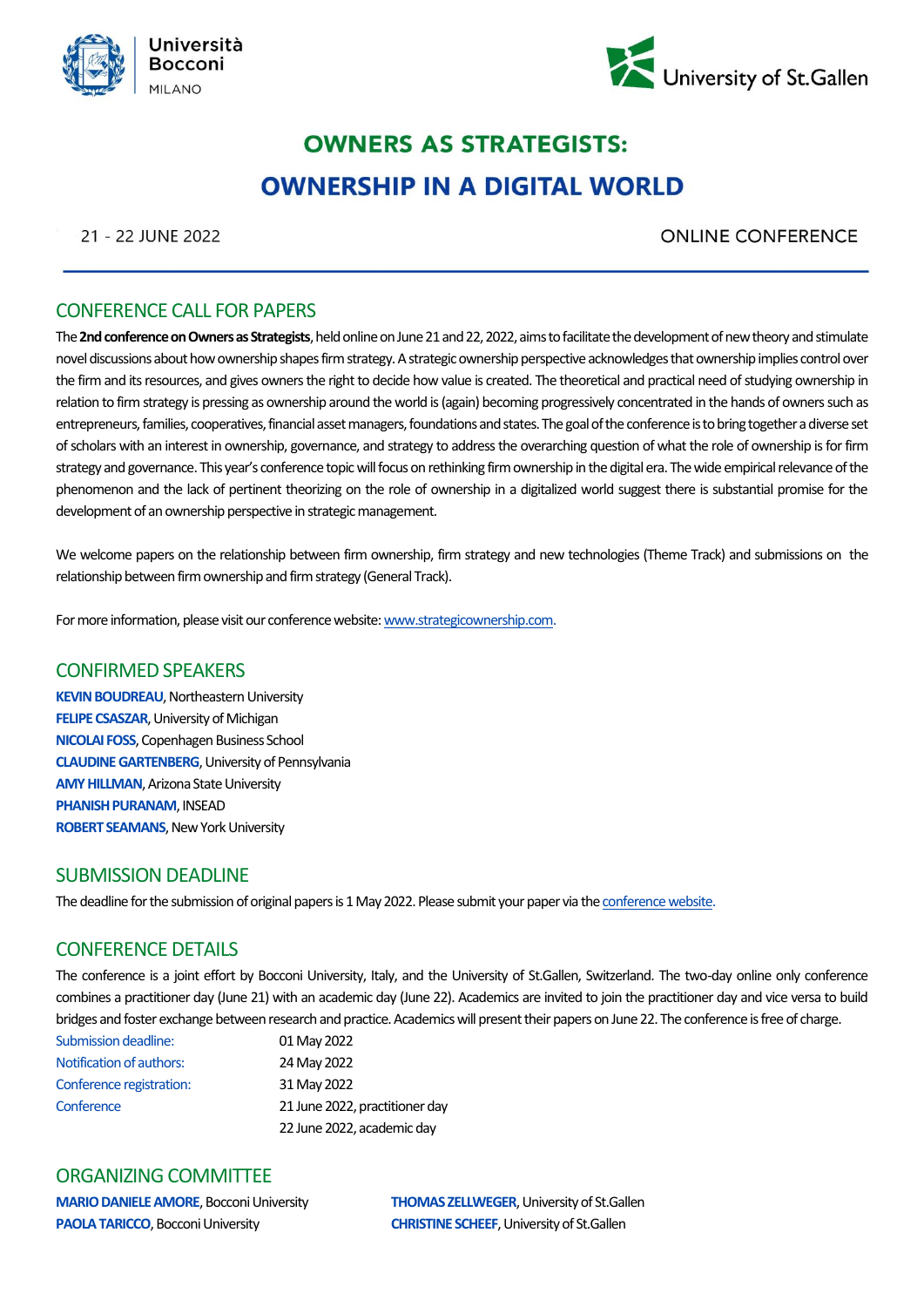



## **OWNERS AS STRATEGISTS: OWNERSHIP IN A DIGITAL WORLD**

21 - 22 JUNE 2022

**ONLINE CONFERENCE** 

### CONFERENCE CALL FOR PAPERS

The **2nd conference on Owners as Strategists**, held online on June 21 and 22, 2022, aims to facilitate the development of new theory and stimulate novel discussions about how ownership shapes firm strategy. A strategic ownership perspective acknowledges that ownership implies control over the firm and its resources, and gives owners the right to decide how value is created. The theoretical and practical need of studying ownership in relation to firm strategy is pressing as ownership around the world is (again) becoming progressively concentrated in the hands of owners such as entrepreneurs, families, cooperatives, financial asset managers, foundations and states.The goal of the conference is to bring together a diverse set of scholars with an interest in ownership, governance, and strategy to address the overarching question of what the role of ownership is for firm strategy and governance. This year's conference topic will focus on rethinking firm ownership in the digital era. The wide empirical relevance of the phenomenon and the lack of pertinent theorizing on the role of ownership in a digitalized world suggest there is substantial promise for the development of an ownership perspective in strategic management.

We welcome papers on the relationship between firm ownership, firm strategy and new technologies (Theme Track) and submissions on the relationship between firm ownership and firm strategy (General Track).

For more information, please visit our conference website[: www.strategicownership.com.](http://www.strategicownership.com/)

### CONFIRMED SPEAKERS

**KEVIN BOUDREAU**, Northeastern University **FELIPE CSASZAR**, University of Michigan **NICOLAI FOSS**, Copenhagen Business School **CLAUDINE GARTENBERG**, University of Pennsylvania **AMY HILLMAN**, Arizona State University **PHANISH PURANAM**, INSEAD **ROBERT SEAMANS**, New York University

### SUBMISSION DEADLINE

The deadline for the submission of original papers is 1 May 2022. Please submit your paper via th[e conference website.](https://callforpapers.evenito.site/)

### CONFERENCE DETAILS

The conference is a joint effort by Bocconi University, Italy, and the University of St.Gallen, Switzerland. The two-day online only conference combines a practitioner day (June 21) with an academic day (June 22). Academics are invited to join the practitioner day and vice versa to build bridges and foster exchange between research and practice. Academics will present their papers on June 22. The conference is free of charge.

| <b>Submission deadline:</b> | 01 May 2022                    |
|-----------------------------|--------------------------------|
| Notification of authors:    | 24 May 2022                    |
| Conference registration:    | 31 May 2022                    |
| Conference                  | 21 June 2022, practitioner day |
|                             | 22 June 2022, academic day     |

#### ORGANIZING COMMITTEE

**PAOLA TARICCO**, Bocconi University **CHRISTINE SCHEEF**, University of St.Gallen

**MARIO DANIELE AMORE**, Bocconi University **THOMAS ZELLWEGER**, University of St.Gallen